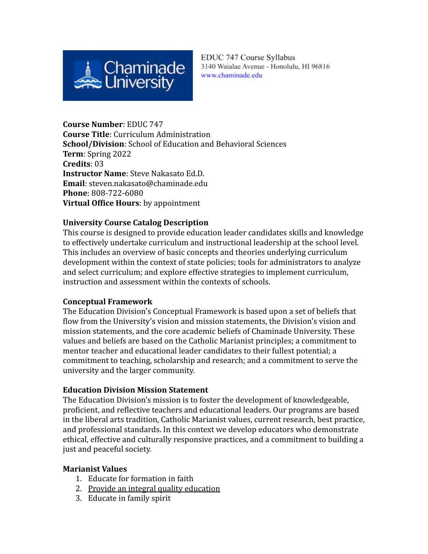

EDUC 747 Course Syllabus 3140 Waialae Avenue - Honolulu, HI 96816 www.chaminade.edu

**Course Number**: EDUC 747 **Course Title**: Curriculum Administration **School/Division**: School of Education and Behavioral Sciences **Term**: Spring 2022 **Credits**: 03 **Instructor Name**: Steve Nakasato Ed.D. **Email**: steven.nakasato@chaminade.edu **Phone**: 808-722-6080 **Virtual Office Hours**: by appointment

#### **University Course Catalog Description**

This course is designed to provide education leader candidates skills and knowledge to effectively undertake curriculum and instructional leadership at the school level. This includes an overview of basic concepts and theories underlying curriculum development within the context of state policies; tools for administrators to analyze and select curriculum; and explore effective strategies to implement curriculum, instruction and assessment within the contexts of schools.

#### **Conceptual Framework**

The Education Division's Conceptual Framework is based upon a set of beliefs that flow from the University's vision and mission statements, the Division's vision and mission statements, and the core academic beliefs of Chaminade University. These values and beliefs are based on the Catholic Marianist principles; a commitment to mentor teacher and educational leader candidates to their fullest potential; a commitment to teaching, scholarship and research; and a commitment to serve the university and the larger community.

## **Education Division Mission Statement**

The Education Division's mission is to foster the development of knowledgeable, proficient, and reflective teachers and educational leaders. Our programs are based in the liberal arts tradition, Catholic Marianist values, current research, best practice, and professional standards. In this context we develop educators who demonstrate ethical, effective and culturally responsive practices, and a commitment to building a just and peaceful society.

#### **Marianist Values**

- 1. Educate for formation in faith
- 2. Provide an integral quality education
- 3. Educate in family spirit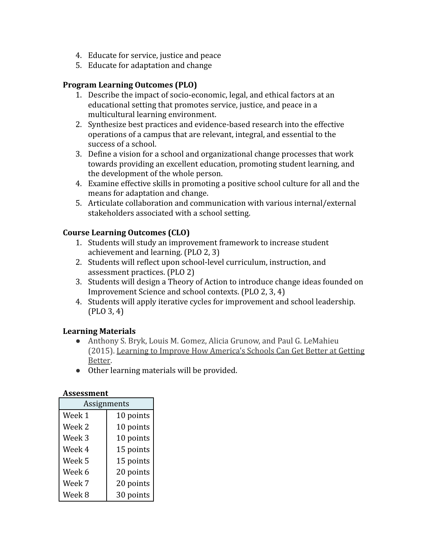- 4. Educate for service, justice and peace
- 5. Educate for adaptation and change

## **Program Learning Outcomes (PLO)**

- 1. Describe the impact of socio-economic, legal, and ethical factors at an educational setting that promotes service, justice, and peace in a multicultural learning environment.
- 2. Synthesize best practices and evidence-based research into the effective operations of a campus that are relevant, integral, and essential to the success of a school.
- 3. Define a vision for a school and organizational change processes that work towards providing an excellent education, promoting student learning, and the development of the whole person.
- 4. Examine effective skills in promoting a positive school culture for all and the means for adaptation and change.
- 5. Articulate collaboration and communication with various internal/external stakeholders associated with a school setting.

## **Course Learning Outcomes (CLO)**

- 1. Students will study an improvement framework to increase student achievement and learning. (PLO 2, 3)
- 2. Students will reflect upon school-level curriculum, instruction, and assessment practices. (PLO 2)
- 3. Students will design a Theory of Action to introduce change ideas founded on Improvement Science and school contexts. (PLO 2, 3, 4)
- 4. Students will apply iterative cycles for improvement and school leadership. (PLO 3, 4)

## **Learning Materials**

- Anthony S. Bryk, Louis M. Gomez, Alicia Grunow, and Paul G. LeMahieu (2015). Learning to Improve How America's Schools Can Get Better at Getting Better.
- Other learning materials will be provided.

#### **Assessment**

| Assignments       |           |  |
|-------------------|-----------|--|
| Week 1            | 10 points |  |
| Week 2            | 10 points |  |
| Week <sub>3</sub> | 10 points |  |
| Week 4            | 15 points |  |
| Week 5            | 15 points |  |
| Week 6            | 20 points |  |
| Week 7            | 20 points |  |
| Week 8            | 30 points |  |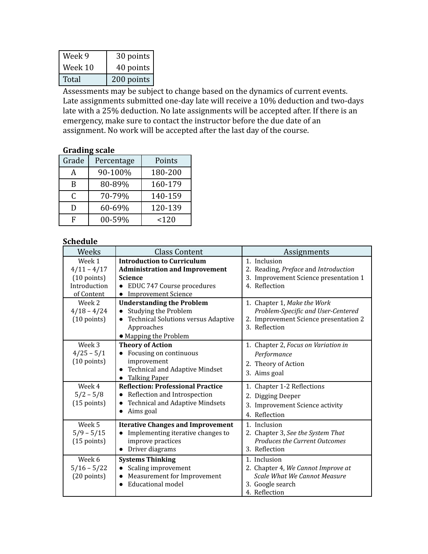| Week 9  | $30$ points $ $ |
|---------|-----------------|
| Week 10 | 40 points       |
| Total   | 200 points      |

Assessments may be subject to change based on the dynamics of current events. Late assignments submitted one-day late will receive a 10% deduction and two-days late with a 25% deduction. No late assignments will be accepted after. If there is an emergency, make sure to contact the instructor before the due date of an assignment. No work will be accepted after the last day of the course.

#### **Grading scale**

| Grade | Percentage | Points  |
|-------|------------|---------|
| A     | 90-100%    | 180-200 |
| B     | 80-89%     | 160-179 |
| C     | 70-79%     | 140-159 |
| D     | 60-69%     | 120-139 |
| F     | 00-59%     | 120     |

## **Schedule**

| Weeks                 | <b>Class Content</b>                       | Assignments                           |
|-----------------------|--------------------------------------------|---------------------------------------|
| Week 1                | <b>Introduction to Curriculum</b>          | 1. Inclusion                          |
| $4/11 - 4/17$         | <b>Administration and Improvement</b>      | 2. Reading, Preface and Introduction  |
| $(10 \text{ points})$ | <b>Science</b>                             | 3. Improvement Science presentation 1 |
| Introduction          | EDUC 747 Course procedures                 | 4. Reflection                         |
| of Content            | <b>Improvement Science</b><br>$\bullet$    |                                       |
| Week 2                | <b>Understanding the Problem</b>           | 1. Chapter 1, Make the Work           |
| $4/18 - 4/24$         | Studying the Problem<br>$\bullet$          | Problem-Specific and User-Centered    |
| $(10 \text{ points})$ | <b>Technical Solutions versus Adaptive</b> | 2. Improvement Science presentation 2 |
|                       | Approaches                                 | 3. Reflection                         |
|                       | • Mapping the Problem                      |                                       |
| Week 3                | <b>Theory of Action</b>                    | 1. Chapter 2, Focus on Variation in   |
| $4/25 - 5/1$          | Focusing on continuous                     | Performance                           |
| $(10 \text{ points})$ | improvement                                | 2. Theory of Action                   |
|                       | <b>Technical and Adaptive Mindset</b>      | 3. Aims goal                          |
|                       | <b>Talking Paper</b><br>$\bullet$          |                                       |
| Week 4                | <b>Reflection: Professional Practice</b>   | 1. Chapter 1-2 Reflections            |
| $5/2 - 5/8$           | Reflection and Introspection<br>$\bullet$  | 2. Digging Deeper                     |
| $(15$ points)         | <b>Technical and Adaptive Mindsets</b>     | 3. Improvement Science activity       |
|                       | Aims goal<br>$\bullet$                     | 4. Reflection                         |
| Week 5                | <b>Iterative Changes and Improvement</b>   | 1. Inclusion                          |
| $5/9 - 5/15$          | Implementing iterative changes to          | 2. Chapter 3, See the System That     |
| $(15$ points)         | improve practices                          | <b>Produces the Current Outcomes</b>  |
|                       | • Driver diagrams                          | 3. Reflection                         |
| Week 6                | <b>Systems Thinking</b>                    | 1. Inclusion                          |
| $5/16 - 5/22$         | Scaling improvement                        | 2. Chapter 4, We Cannot Improve at    |
| $(20$ points)         | Measurement for Improvement<br>$\bullet$   | <b>Scale What We Cannot Measure</b>   |
|                       | Educational model                          | 3. Google search                      |
|                       |                                            | 4. Reflection                         |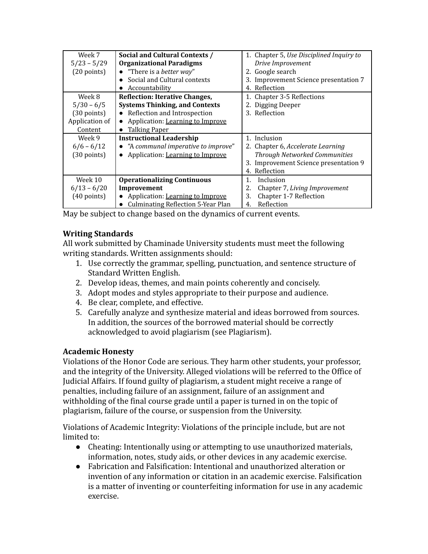| Week 7                | Social and Cultural Contexts /        | 1. Chapter 5, Use Disciplined Inquiry to |
|-----------------------|---------------------------------------|------------------------------------------|
| $5/23 - 5/29$         | <b>Organizational Paradigms</b>       | Drive Improvement                        |
| $(20$ points)         | • "There is a <i>better way</i> "     | 2. Google search                         |
|                       | Social and Cultural contexts          | 3. Improvement Science presentation 7    |
|                       | $\bullet$ Accountability              | 4. Reflection                            |
| Week 8                | <b>Reflection: Iterative Changes,</b> | 1. Chapter 3-5 Reflections               |
| $5/30 - 6/5$          | <b>Systems Thinking, and Contexts</b> | 2. Digging Deeper                        |
| $(30 \text{ points})$ | • Reflection and Introspection        | 3. Reflection                            |
| Application of        | Application: Learning to Improve      |                                          |
| Content               | • Talking Paper                       |                                          |
| Week 9                | <b>Instructional Leadership</b>       | 1. Inclusion                             |
| $6/6 - 6/12$          | • "A communal imperative to improve"  | 2. Chapter 6, Accelerate Learning        |
| $(30$ points)         | • Application: Learning to Improve    | <b>Through Networked Communities</b>     |
|                       |                                       | 3. Improvement Science presentation 9    |
|                       |                                       | 4. Reflection                            |
| Week 10               | <b>Operationalizing Continuous</b>    | Inclusion<br>1.                          |
| $6/13 - 6/20$         | Improvement                           | 2.<br>Chapter 7, Living Improvement      |
| $(40$ points)         | Application: Learning to Improve      | Chapter 1-7 Reflection<br>3.             |
|                       | Culminating Reflection 5-Year Plan    | Reflection<br>4.                         |

May be subject to change based on the dynamics of current events.

## **Writing Standards**

All work submitted by Chaminade University students must meet the following writing standards. Written assignments should:

- 1. Use correctly the grammar, spelling, punctuation, and sentence structure of Standard Written English.
- 2. Develop ideas, themes, and main points coherently and concisely.
- 3. Adopt modes and styles appropriate to their purpose and audience.
- 4. Be clear, complete, and effective.
- 5. Carefully analyze and synthesize material and ideas borrowed from sources. In addition, the sources of the borrowed material should be correctly acknowledged to avoid plagiarism (see Plagiarism).

## **Academic Honesty**

Violations of the Honor Code are serious. They harm other students, your professor, and the integrity of the University. Alleged violations will be referred to the Office of Judicial Affairs. If found guilty of plagiarism, a student might receive a range of penalties, including failure of an assignment, failure of an assignment and withholding of the final course grade until a paper is turned in on the topic of plagiarism, failure of the course, or suspension from the University.

Violations of Academic Integrity: Violations of the principle include, but are not limited to:

- Cheating: Intentionally using or attempting to use unauthorized materials, information, notes, study aids, or other devices in any academic exercise.
- Fabrication and Falsification: Intentional and unauthorized alteration or invention of any information or citation in an academic exercise. Falsification is a matter of inventing or counterfeiting information for use in any academic exercise.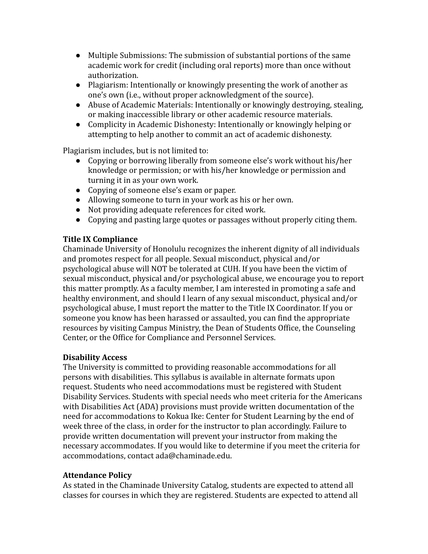- Multiple Submissions: The submission of substantial portions of the same academic work for credit (including oral reports) more than once without authorization.
- Plagiarism: Intentionally or knowingly presenting the work of another as one's own (i.e., without proper acknowledgment of the source).
- Abuse of Academic Materials: Intentionally or knowingly destroying, stealing, or making inaccessible library or other academic resource materials.
- Complicity in Academic Dishonesty: Intentionally or knowingly helping or attempting to help another to commit an act of academic dishonesty.

Plagiarism includes, but is not limited to:

- Copying or borrowing liberally from someone else's work without his/her knowledge or permission; or with his/her knowledge or permission and turning it in as your own work.
- Copying of someone else's exam or paper.
- Allowing someone to turn in your work as his or her own.
- Not providing adequate references for cited work.
- Copying and pasting large quotes or passages without properly citing them.

# **Title IX Compliance**

Chaminade University of Honolulu recognizes the inherent dignity of all individuals and promotes respect for all people. Sexual misconduct, physical and/or psychological abuse will NOT be tolerated at CUH. If you have been the victim of sexual misconduct, physical and/or psychological abuse, we encourage you to report this matter promptly. As a faculty member, I am interested in promoting a safe and healthy environment, and should I learn of any sexual misconduct, physical and/or psychological abuse, I must report the matter to the Title IX Coordinator. If you or someone you know has been harassed or assaulted, you can find the appropriate resources by visiting Campus Ministry, the Dean of Students Office, the Counseling Center, or the Office for Compliance and Personnel Services.

# **Disability Access**

The University is committed to providing reasonable accommodations for all persons with disabilities. This syllabus is available in alternate formats upon request. Students who need accommodations must be registered with Student Disability Services. Students with special needs who meet criteria for the Americans with Disabilities Act (ADA) provisions must provide written documentation of the need for accommodations to Kokua Ike: Center for Student Learning by the end of week three of the class, in order for the instructor to plan accordingly. Failure to provide written documentation will prevent your instructor from making the necessary accommodates. If you would like to determine if you meet the criteria for accommodations, contact ada@chaminade.edu.

# **Attendance Policy**

As stated in the Chaminade University Catalog, students are expected to attend all classes for courses in which they are registered. Students are expected to attend all